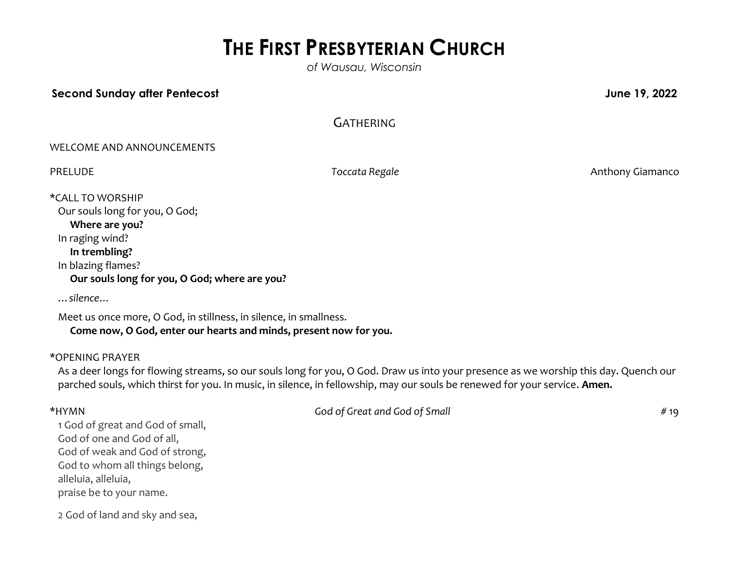# **THE FIRST PRESBYTERIAN CHURCH**

*of Wausau, Wisconsin*

**Second Sunday after Pentecost June 19, 2022**

# **GATHERING**

WELCOME AND ANNOUNCEMENTS

**PRELUDE Toccata Regale Toccata Regale Anthony Giamanco** 

\*CALL TO WORSHIP Our souls long for you, O God; **Where are you?** In raging wind? **In trembling?** In blazing flames? **Our souls long for you, O God; where are you?**

…*silence…*

Meet us once more, O God, in stillness, in silence, in smallness. **Come now, O God, enter our hearts and minds, present now for you.**

#### \*OPENING PRAYER

As a deer longs for flowing streams, so our souls long for you, O God. Draw us into your presence as we worship this day. Quench our parched souls, which thirst for you. In music, in silence, in fellowship, may our souls be renewed for your service. **Amen.**

| *HYMN                            | God of Great and God of Small | # 19 |
|----------------------------------|-------------------------------|------|
| 1 God of great and God of small, |                               |      |
| God of one and God of all,       |                               |      |
| God of weak and God of strong,   |                               |      |
| God to whom all things belong,   |                               |      |
| alleluia, alleluia,              |                               |      |
| praise be to your name.          |                               |      |
|                                  |                               |      |
| 2 God of land and sky and sea,   |                               |      |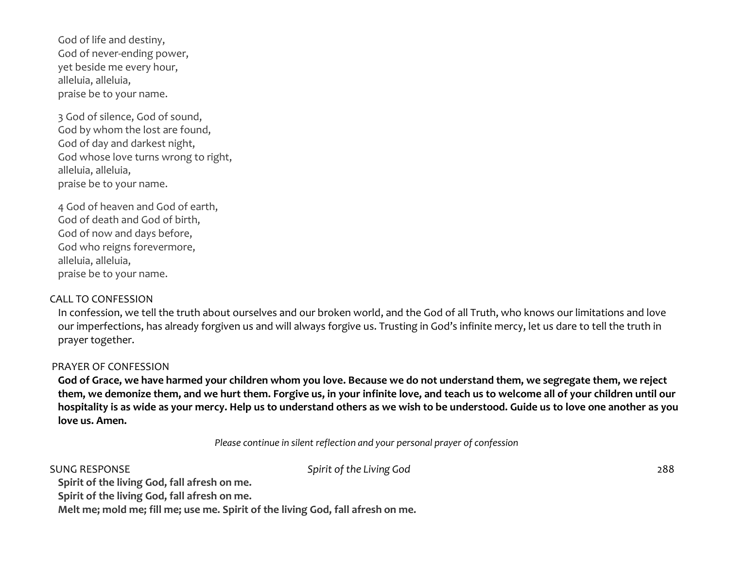God of life and destiny, God of never-ending power, yet beside me every hour, alleluia, alleluia, praise be to your name.

3 God of silence, God of sound, God by whom the lost are found, God of day and darkest night, God whose love turns wrong to right, alleluia, alleluia, praise be to your name.

4 God of heaven and God of earth, God of death and God of birth, God of now and days before, God who reigns forevermore, alleluia, alleluia, praise be to your name.

#### CALL TO CONFESSION

In confession, we tell the truth about ourselves and our broken world, and the God of all Truth, who knows our limitations and love our imperfections, has already forgiven us and will always forgive us. Trusting in God's infinite mercy, let us dare to tell the truth in prayer together.

#### PRAYER OF CONFESSION

**God of Grace, we have harmed your children whom you love. Because we do not understand them, we segregate them, we reject them, we demonize them, and we hurt them. Forgive us, in your infinite love, and teach us to welcome all of your children until our hospitality is as wide as your mercy. Help us to understand others as we wish to be understood. Guide us to love one another as you love us. Amen.**

*Please continue in silent reflection and your personal prayer of confession*

SUNG RESPONSE *Spirit of the Living God* 288

**Spirit of the living God, fall afresh on me.**

**Spirit of the living God, fall afresh on me.**

**Melt me; mold me; fill me; use me. Spirit of the living God, fall afresh on me.**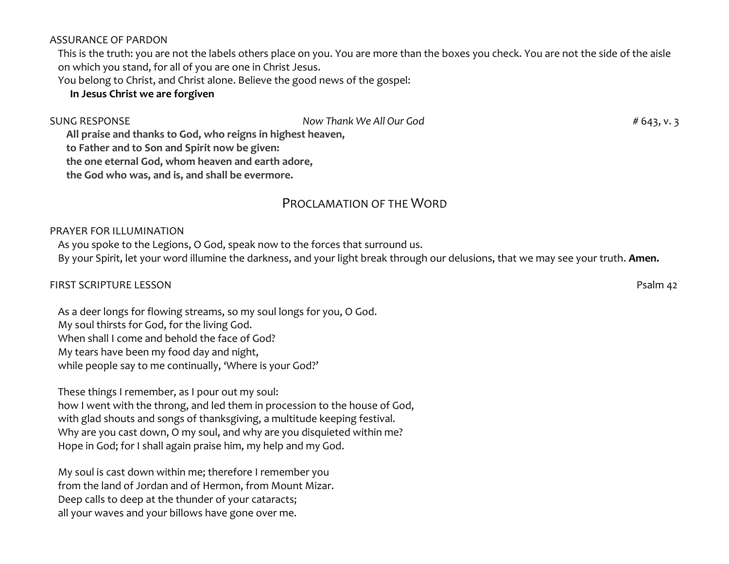#### ASSURANCE OF PARDON

This is the truth: you are not the labels others place on you. You are more than the boxes you check. You are not the side of the aisle on which you stand, for all of you are one in Christ Jesus.

You belong to Christ, and Christ alone. Believe the good news of the gospel:

### **In Jesus Christ we are forgiven**

SUNG RESPONSE *# 643, v. 3* 

**All praise and thanks to God, who reigns in highest heaven,**

**to Father and to Son and Spirit now be given:**

**the one eternal God, whom heaven and earth adore,**

**the God who was, and is, and shall be evermore.**

# PROCLAMATION OF THE WORD

#### PRAYER FOR ILLUMINATION

As you spoke to the Legions, O God, speak now to the forces that surround us. By your Spirit, let your word illumine the darkness, and your light break through our delusions, that we may see your truth. **Amen.**

### FIRST SCRIPTURE LESSON Psalm 42

As a deer longs for flowing streams, so my soul longs for you, O God. My soul thirsts for God, for the living God. When shall I come and behold the face of God? My tears have been my food day and night, while people say to me continually, 'Where is your God?'

These things I remember, as I pour out my soul:

how I went with the throng, and led them in procession to the house of God, with glad shouts and songs of thanksgiving, a multitude keeping festival. Why are you cast down, O my soul, and why are you disquieted within me? Hope in God; for I shall again praise him, my help and my God.

My soul is cast down within me; therefore I remember you from the land of Jordan and of Hermon, from Mount Mizar. Deep calls to deep at the thunder of your cataracts; all your waves and your billows have gone over me.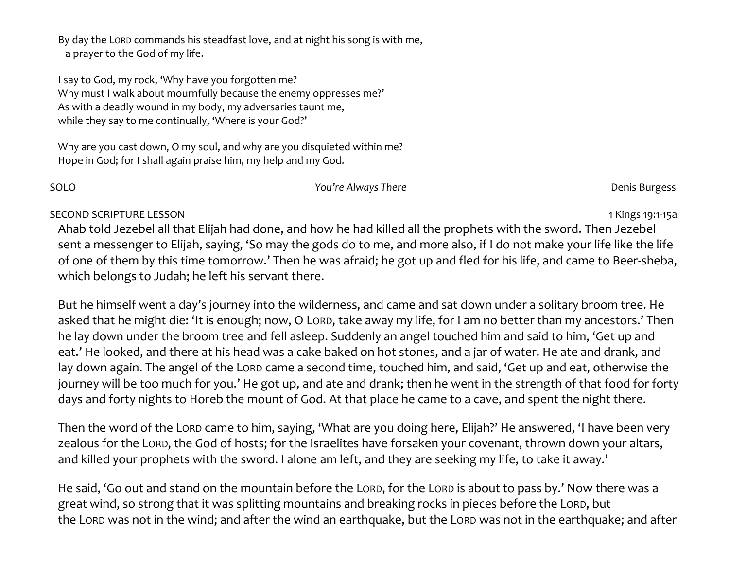By day the LORD commands his steadfast love, and at night his song is with me, a prayer to the God of my life.

I say to God, my rock, 'Why have you forgotten me? Why must I walk about mournfully because the enemy oppresses me?' As with a deadly wound in my body, my adversaries taunt me, while they say to me continually, 'Where is your God?'

Why are you cast down, O my soul, and why are you disquieted within me? Hope in God; for I shall again praise him, my help and my God.

**SOLO** *You're Always There You're Always There* **Denis Burgess** 

### SECOND SCRIPTURE LESSON 1 Kings 19:1-15a

Ahab told Jezebel all that Elijah had done, and how he had killed all the prophets with the sword. Then Jezebel sent a messenger to Elijah, saying, 'So may the gods do to me, and more also, if I do not make your life like the life of one of them by this time tomorrow.' Then he was afraid; he got up and fled for his life, and came to Beer-sheba, which belongs to Judah; he left his servant there.

But he himself went a day's journey into the wilderness, and came and sat down under a solitary broom tree. He asked that he might die: 'It is enough; now, O LORD, take away my life, for I am no better than my ancestors.' Then he lay down under the broom tree and fell asleep. Suddenly an angel touched him and said to him, 'Get up and eat.' He looked, and there at his head was a cake baked on hot stones, and a jar of water. He ate and drank, and lay down again. The angel of the LORD came a second time, touched him, and said, 'Get up and eat, otherwise the journey will be too much for you.' He got up, and ate and drank; then he went in the strength of that food for forty days and forty nights to Horeb the mount of God. At that place he came to a cave, and spent the night there.

Then the word of the LORD came to him, saying, 'What are you doing here, Elijah?' He answered, 'I have been very zealous for the LORD, the God of hosts; for the Israelites have forsaken your covenant, thrown down your altars, and killed your prophets with the sword. I alone am left, and they are seeking my life, to take it away.'

He said, 'Go out and stand on the mountain before the LORD, for the LORD is about to pass by.' Now there was a great wind, so strong that it was splitting mountains and breaking rocks in pieces before the LORD, but the LORD was not in the wind; and after the wind an earthquake, but the LORD was not in the earthquake; and after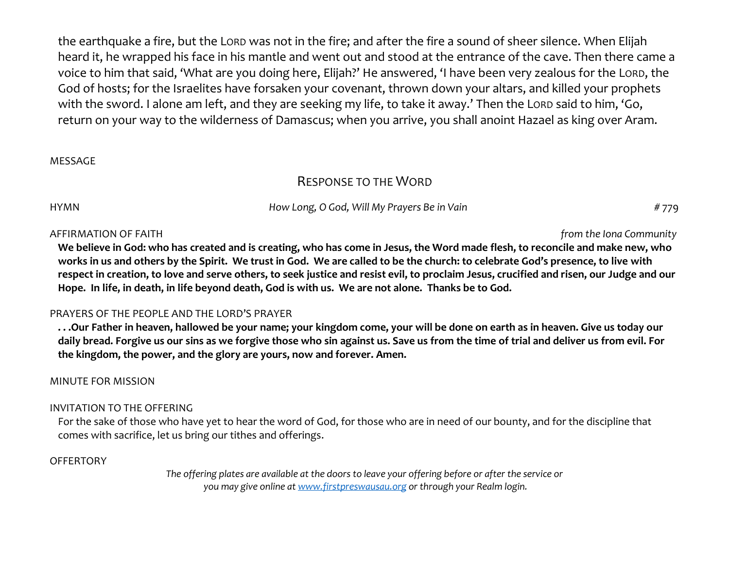the earthquake a fire, but the LORD was not in the fire; and after the fire a sound of sheer silence. When Elijah heard it, he wrapped his face in his mantle and went out and stood at the entrance of the cave. Then there came a voice to him that said, 'What are you doing here, Elijah?' He answered, 'I have been very zealous for the LORD, the God of hosts; for the Israelites have forsaken your covenant, thrown down your altars, and killed your prophets with the sword. I alone am left, and they are seeking my life, to take it away.' Then the LORD said to him, 'Go, return on your way to the wilderness of Damascus; when you arrive, you shall anoint Hazael as king over Aram.

#### MESSAGE

## RESPONSE TO THE WORD

HYMN *How Long, O God, Will My Prayers Be in Vain* # 779

#### AFFIRMATION OF FAITH *from the Iona Community*

**We believe in God: who has created and is creating, who has come in Jesus, the Word made flesh, to reconcile and make new, who works in us and others by the Spirit. We trust in God. We are called to be the church: to celebrate God's presence, to live with respect in creation, to love and serve others, to seek justice and resist evil, to proclaim Jesus, crucified and risen, our Judge and our Hope. In life, in death, in life beyond death, God is with us. We are not alone. Thanks be to God.** 

#### PRAYERS OF THE PEOPLE AND THE LORD'S PRAYER

**. . .Our Father in heaven, hallowed be your name; your kingdom come, your will be done on earth as in heaven. Give us today our daily bread. Forgive us our sins as we forgive those who sin against us. Save us from the time of trial and deliver us from evil. For the kingdom, the power, and the glory are yours, now and forever. Amen.**

#### MINUTE FOR MISSION

#### INVITATION TO THE OFFERING

For the sake of those who have yet to hear the word of God, for those who are in need of our bounty, and for the discipline that comes with sacrifice, let us bring our tithes and offerings.

#### **OFFERTORY**

*The offering plates are available at the doors to leave your offering before or after the service or you may give online a[t www.firstpreswausau.org](http://www.firstpreswausau.org/) or through your Realm login.*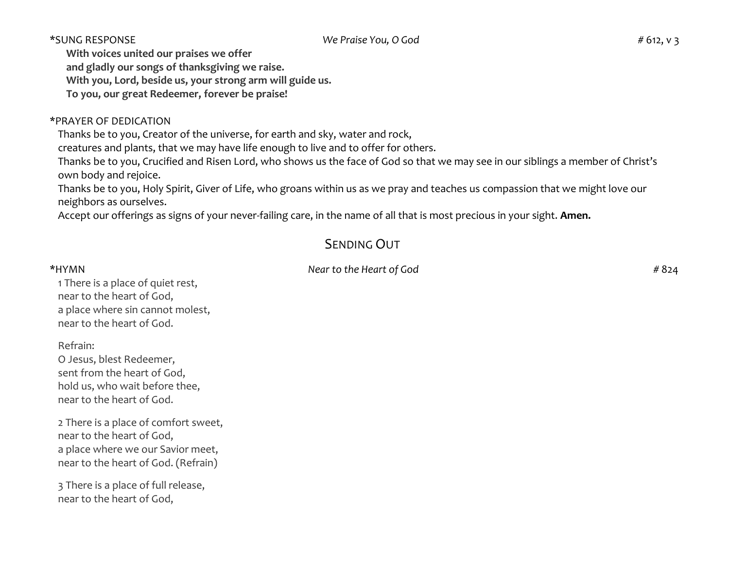**With voices united our praises we offer**

**and gladly our songs of thanksgiving we raise.**

**With you, Lord, beside us, your strong arm will guide us.**

**To you, our great Redeemer, forever be praise!**

#### \*PRAYER OF DEDICATION

Thanks be to you, Creator of the universe, for earth and sky, water and rock,

creatures and plants, that we may have life enough to live and to offer for others.

Thanks be to you, Crucified and Risen Lord, who shows us the face of God so that we may see in our siblings a member of Christ's own body and rejoice.

Thanks be to you, Holy Spirit, Giver of Life, who groans within us as we pray and teaches us compassion that we might love our neighbors as ourselves.

Accept our offerings as signs of your never-failing care, in the name of all that is most precious in your sight. **Amen.**

# SENDING OUT

\*HYMN *Near to the Heart of God* # 824

1 There is a place of quiet rest, near to the heart of God, a place where sin cannot molest, near to the heart of God.

#### Refrain:

O Jesus, blest Redeemer, sent from the heart of God, hold us, who wait before thee, near to the heart of God.

2 There is a place of comfort sweet, near to the heart of God, a place where we our Savior meet, near to the heart of God. (Refrain)

3 There is a place of full release, near to the heart of God,